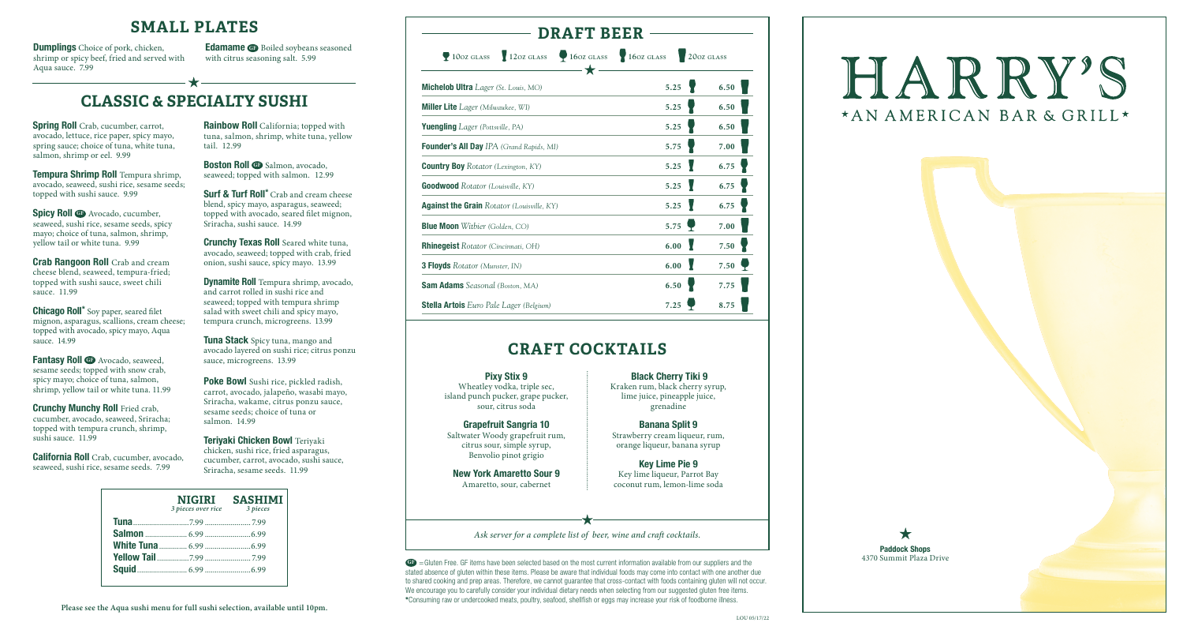

#### **SMALL PLATES**

**Tempura Shrimp Roll** Tempura shrimp, avocado, seaweed, sushi rice, sesame seeds; topped with sushi sauce. 9.99

**Spicy Roll GF** Avocado, cucumber, seaweed, sushi rice, sesame seeds, spicy mayo; choice of tuna, salmon, shrimp, yellow tail or white tuna. 9.99

**Fantasy Roll G** Avocado, seaweed, sesame seeds; topped with snow crab, spicy mayo; choice of tuna, salmon, shrimp, yellow tail or white tuna. 11.99

**Crunchy Munchy Roll** Fried crab, cucumber, avocado, seaweed, Sriracha; topped with tempura crunch, shrimp, sushi sauce. 11.99

**Crab Rangoon Roll** Crab and cream cheese blend, seaweed, tempura-fried; topped with sushi sauce, sweet chili sauce. 11.99

**Boston Roll <b>G** Salmon, avocado, seaweed; topped with salmon.12.99

**Chicago Roll\*** Soy paper, seared filet mignon, asparagus, scallions, cream cheese; topped with avocado, spicy mayo, Aqua sauce. 14.99

**Surf & Turf Roll\*** Crab and cream cheese blend, spicy mayo, asparagus, seaweed; topped with avocado, seared filet mignon, Sriracha, sushi sauce. 14.99

**Crunchy Texas Roll** Seared white tuna, avocado, seaweed; topped with crab, fried onion, sushi sauce, spicy mayo. 13.99

**California Roll** Crab, cucumber, avocado, seaweed, sushi rice, sesame seeds. 7.99

**Rainbow Roll** California; topped with tuna, salmon, shrimp, white tuna, yellow tail. 12.99

**Dynamite Roll** Tempura shrimp, avocado, and carrot rolled in sushi rice and seaweed; topped with tempura shrimp salad with sweet chili and spicy mayo, tempura crunch, microgreens. 13.99

**Tuna Stack** Spicy tuna, mango and avocado layered on sushi rice; citrus ponzu sauce, microgreens. 13.99

> GP = Gluten Free. GF items have been selected based on the most current information available from our suppliers and the stated absence of gluten within these items. Please be aware that individual foods may come into contact with one another due to shared cooking and prep areas. Therefore, we cannot guarantee that cross-contact with foods containing gluten will not occur. We encourage you to carefully consider your individual dietary needs when selecting from our suggested gluten free items. **\***Consuming raw or undercooked meats, poultry, seafood, shellfish or eggs may increase your risk of foodborne illness.

**Poke Bowl** Sushi rice, pickled radish, carrot, avocado, jalapeño, wasabi mayo, Sriracha, wakame, citrus ponzu sauce, sesame seeds; choice of tuna or salmon. 14.99

**Teriyaki Chicken Bowl** Teriyaki chicken, sushi rice, fried asparagus, cucumber, carrot, avocado, sushi sauce, Sriracha, sesame seeds. 11.99

# **CLASSIC & SPECIALTY SUSHI**

**Spring Roll** Crab, cucumber, carrot, avocado, lettuce, rice paper, spicy mayo, spring sauce; choice of tuna, white tuna, salmon, shrimp or eel. 9.99

**Dumplings** Choice of pork, chicken, shrimp or spicy beef, fried and served with Aqua sauce. 7.99

**Edamame GB** Boiled soybeans seasoned with citrus seasoning salt. 5.99

#### **DRAFT BEER**

**10oz glass** 12*oz* **<b>glass** 16*oz* **glass** 16*oz* **glass** 16*oz* **glass** 

| 60z glass |  |
|-----------|--|
|           |  |

| М                                                 |      |      |
|---------------------------------------------------|------|------|
| Michelob Ultra Lager (St. Louis, MO)              | 5.25 | 6.50 |
| <b>Miller Lite</b> Lager (Milwaukee, WI)          | 5.25 | 6.50 |
| <b>Yuengling</b> Lager (Pottsville, PA)           | 5.25 | 6.50 |
| <b>Founder's All Day</b> IPA (Grand Rapids, MI)   | 5.75 | 7.00 |
| <b>Country Boy</b> Rotator (Lexington, KY)        | 5.25 | 6.75 |
| <b>Goodwood</b> Rotator (Louisville, KY)          | 5.25 | 6.75 |
| <b>Against the Grain Rotator (Louisville, KY)</b> | 5.25 | 6.75 |
| Blue Moon Witbier (Golden, CO)                    | 5.75 | 7.00 |
| Rhinegeist Rotator (Cincinnati, OH)               | 6.00 | 7.50 |
| 3 Floyds Rotator (Munster, IN)                    | 6.00 | 7.50 |
| <b>Sam Adams</b> Seasonal (Boston, MA)            | 6.50 | 7.75 |

**Stella Artois** *Euro Pale Lager (Belgium)* **7.25 8.75**

*Ask server for a complete list of beer, wine and craft cocktails.*

# HARRY'S \*AN AMERICAN BAR & GRILL\*

| 3 pieces over rice | NIGIRI SASHIMI<br>3 pieces |
|--------------------|----------------------------|
|                    |                            |
|                    |                            |
|                    |                            |
|                    |                            |
|                    |                            |

# **CRAFT COCKTAILS**

**Pixy Stix 9** Wheatley vodka, triple sec, island punch pucker, grape pucker, sour, citrus soda

**Grapefruit Sangria 10** Saltwater Woody grapefruit rum, citrus sour, simple syrup, Benvolio pinot grigio

**New York Amaretto Sour 9** Amaretto, sour, cabernet

**Black Cherry Tiki 9** Kraken rum, black cherry syrup, lime juice, pineapple juice, grenadine

**Banana Split 9** Strawberry cream liqueur, rum, orange liqueur, banana syrup

**Key Lime Pie 9** Key lime liqueur, Parrot Bay coconut rum, lemon-lime soda